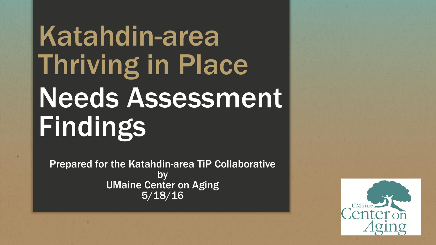# Katahdin-area Thriving in Place Needs Assessment Findings

Prepared for the Katahdin-area TiP Collaborative by UMaine Center on Aging 5/18/16

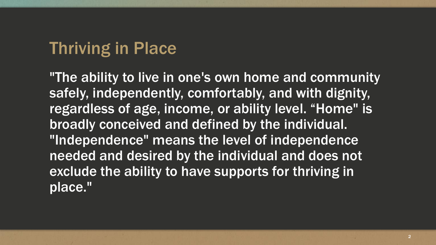### Thriving in Place

"The ability to live in one's own home and community safely, independently, comfortably, and with dignity, regardless of age, income, or ability level. "Home" is broadly conceived and defined by the individual. "Independence" means the level of independence needed and desired by the individual and does not exclude the ability to have supports for thriving in place."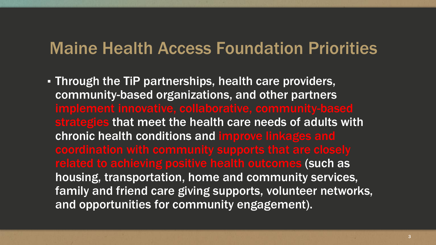### Maine Health Access Foundation Priorities

▪ Through the TiP partnerships, health care providers, community-based organizations, and other partners strategies that meet the health care needs of adults with chronic health conditions and improve linkages and related to achieving positive health outcomes (such as housing, transportation, home and community services, family and friend care giving supports, volunteer networks, and opportunities for community engagement).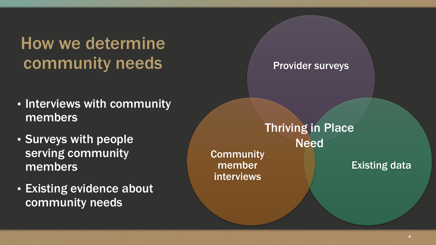How we determine community needs

- **. Interviews with community** members
- Surveys with people serving community members
- **Existing evidence about** community needs

Provider surveys

**Community** member interviews Thriving in Place Need

Existing data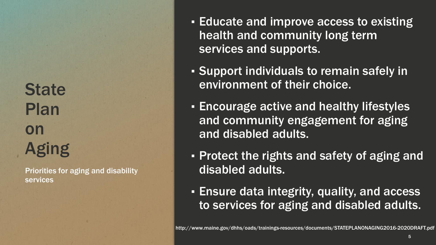**State** Plan on Aging

Priorities for aging and disability services

- **Educate and improve access to existing Fig. 3.** health and community long term services and supports.
- Support individuals to remain safely in environment of their choice.
- **Encourage active and healthy lifestyles** and community engagement for aging and disabled adults.
- **Protect the rights and safety of aging and** disabled adults.
- **Ensure data integrity, quality, and access** to services for aging and disabled adults.

5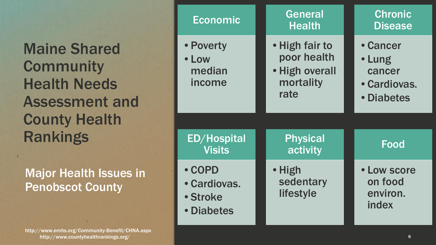Maine Shared **Community** Health Needs Assessment and County Health Rankings

Major Health Issues in Penobscot County

http://www.countyhealthrankings.org/ http://www.emhs.org/Community -Benefit/CHNA.aspx

| Economic                                         | <b>General</b><br><b>Health</b>                                      | <b>Chronic</b><br><b>Disease</b>                           |
|--------------------------------------------------|----------------------------------------------------------------------|------------------------------------------------------------|
| • Poverty<br>• Low<br>median<br>income           | • High fair to<br>poor health<br>• High overall<br>mortality<br>rate | • Cancer<br>• Lung<br>cancer<br>• Cardiovas.<br>• Diabetes |
| <b>ED/Hospital</b><br><b>Visits</b>              | <b>Physical</b><br>activity                                          | <b>Food</b>                                                |
| • COPD<br>• Cardiovas.<br>• Stroke<br>• Diabetes | • High<br>sedentary<br>lifestyle                                     | • Low score<br>on food<br>environ.<br>index                |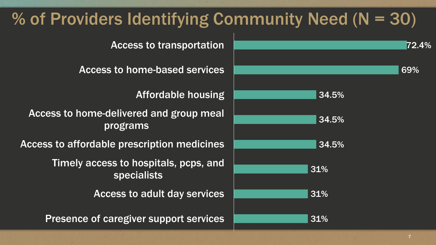# % of Providers Identifying Community Need  $(N = 30)$



Access to transportation

Access to home-based services

Affordable housing

Access to home-delivered and group meal programs

Access to affordable prescription medicines

Timely access to hospitals, pcps, and specialists

Access to adult day services

Presence of caregiver support services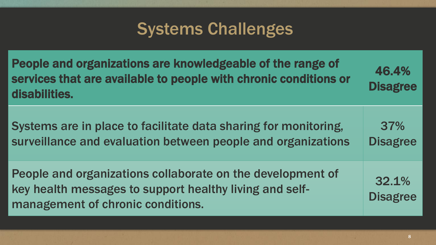# Systems Challenges

| People and organizations are knowledgeable of the range of<br>services that are available to people with chronic conditions or<br>disabilities.            | 46.4%<br><b>Disagree</b> |
|------------------------------------------------------------------------------------------------------------------------------------------------------------|--------------------------|
| Systems are in place to facilitate data sharing for monitoring,<br>surveillance and evaluation between people and organizations                            | 37%<br><b>Disagree</b>   |
| People and organizations collaborate on the development of<br>key health messages to support healthy living and self-<br>management of chronic conditions. | 32.1%<br><b>Disagree</b> |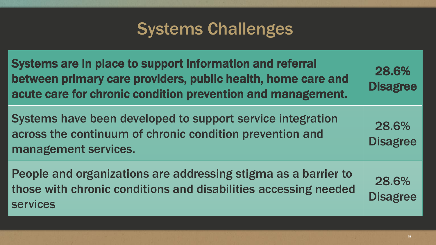# Systems Challenges

| Systems are in place to support information and referral<br>between primary care providers, public health, home care and<br>acute care for chronic condition prevention and management. | 28.6%<br><b>Disagree</b> |
|-----------------------------------------------------------------------------------------------------------------------------------------------------------------------------------------|--------------------------|
| Systems have been developed to support service integration<br>across the continuum of chronic condition prevention and<br>management services.                                          | 28.6%<br><b>Disagree</b> |
| People and organizations are addressing stigma as a barrier to<br>those with chronic conditions and disabilities accessing needed<br><b>services</b>                                    | 28.6%<br><b>Disagree</b> |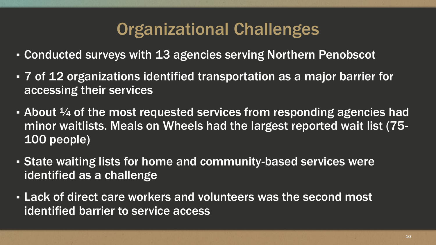## Organizational Challenges

- **EXECO Conducted surveys with 13 agencies serving Northern Penobscot**
- 7 of 12 organizations identified transportation as a major barrier for accessing their services
- $\bullet$  About  $\frac{1}{4}$  of the most requested services from responding agencies had minor waitlists. Meals on Wheels had the largest reported wait list (75- 100 people)
- **Example 2 State waiting lists for home and community-based services were** identified as a challenge
- **EXALE: Lack of direct care workers and volunteers was the second most** identified barrier to service access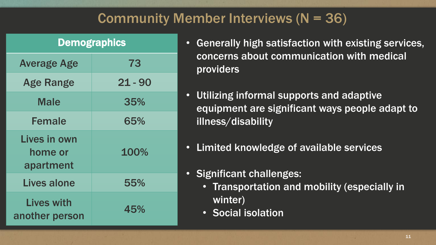### Community Member Interviews (N = 36)

| <b>Demographics</b>                  |           |  |
|--------------------------------------|-----------|--|
| <b>Average Age</b>                   | 73        |  |
| <b>Age Range</b>                     | $21 - 90$ |  |
| <b>Male</b>                          | 35%       |  |
| <b>Female</b>                        | 65%       |  |
| Lives in own<br>home or<br>apartment | 100%      |  |
| <b>Lives alone</b>                   | 55%       |  |
| <b>Lives with</b><br>another person  | 45%       |  |

- Generally high satisfaction with existing services, concerns about communication with medical providers
- Utilizing informal supports and adaptive equipment are significant ways people adapt to illness/disability
- Limited knowledge of available services

#### • Significant challenges:

- Transportation and mobility (especially in winter)
- Social isolation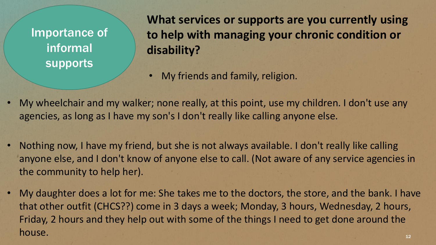Importance of informal supports

**What services or supports are you currently using to help with managing your chronic condition or disability?**

- My friends and family, religion.
- My wheelchair and my walker; none really, at this point, use my children. I don't use any agencies, as long as I have my son's I don't really like calling anyone else.
- Nothing now, I have my friend, but she is not always available. I don't really like calling anyone else, and I don't know of anyone else to call. (Not aware of any service agencies in the community to help her).
- My daughter does a lot for me: She takes me to the doctors, the store, and the bank. I have that other outfit (CHCS??) come in 3 days a week; Monday, 3 hours, Wednesday, 2 hours, Friday, 2 hours and they help out with some of the things I need to get done around the house. The contract of the contract of the contract of the contract of the contract of the contract of the contract of the contract of the contract of the contract of the contract of the contract of the contract of the con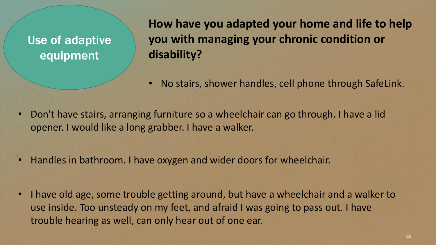Use of adaptive equipment

**How have you adapted your home and life to help you with managing your chronic condition or disability?** 

- No stairs, shower handles, cell phone through SafeLink.
- Don't have stairs, arranging furniture so a wheelchair can go through. I have a lid opener. I would like a long grabber. I have a walker.
- Handles in bathroom. I have oxygen and wider doors for wheelchair.
- I have old age, some trouble getting around, but have a wheelchair and a walker to use inside. Too unsteady on my feet, and afraid I was going to pass out. I have trouble hearing as well, can only hear out of one ear.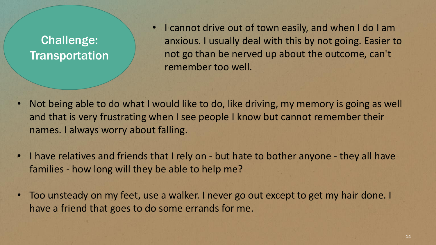#### Challenge: **Transportation**

• I cannot drive out of town easily, and when I do I am anxious. I usually deal with this by not going. Easier to not go than be nerved up about the outcome, can't remember too well.

- Not being able to do what I would like to do, like driving, my memory is going as well and that is very frustrating when I see people I know but cannot remember their names. I always worry about falling.
- I have relatives and friends that I rely on but hate to bother anyone they all have families - how long will they be able to help me?
- Too unsteady on my feet, use a walker. I never go out except to get my hair done. I have a friend that goes to do some errands for me.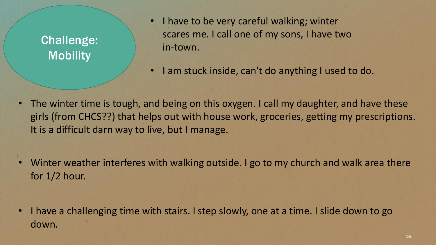#### Challenge: **Mobility**

- I have to be very careful walking; winter scares me. I call one of my sons, I have two in-town.
	- I am stuck inside, can't do anything I used to do.
- The winter time is tough, and being on this oxygen. I call my daughter, and have these girls (from CHCS??) that helps out with house work, groceries, getting my prescriptions. It is a difficult darn way to live, but I manage.
- Winter weather interferes with walking outside. I go to my church and walk area there for 1/2 hour.

• I have a challenging time with stairs. I step slowly, one at a time. I slide down to go down.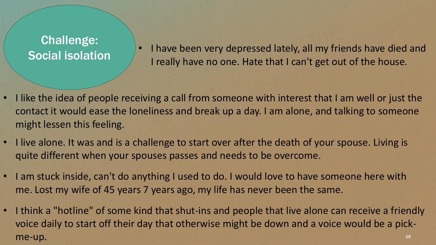#### Challenge: Social isolation

• I have been very depressed lately, all my friends have died and I really have no one. Hate that I can't get out of the house.

- I like the idea of people receiving a call from someone with interest that I am well or just the contact it would ease the loneliness and break up a day. I am alone, and talking to someone might lessen this feeling.
- I live alone. It was and is a challenge to start over after the death of your spouse. Living is quite different when your spouses passes and needs to be overcome.
- I am stuck inside, can't do anything I used to do. I would love to have someone here with me. Lost my wife of 45 years 7 years ago, my life has never been the same.
- I think a "hotline" of some kind that shut-ins and people that live alone can receive a friendly voice daily to start off their day that otherwise might be down and a voice would be a pick- $\mathsf{me}\text{-}\mathsf{up}.$  The set of  $\mathsf{supp}$  and  $\mathsf{supp}$  are  $\mathsf{supp}$  and  $\mathsf{supp}$  are  $\mathsf{supp}$  and  $\mathsf{supp}$  are  $\mathsf{supp}$  and  $\mathsf{supp}$  are  $\mathsf{supp}$  and  $\mathsf{supp}$  are  $\mathsf{supp}$  and  $\mathsf{supp}$  are  $\mathsf{supp}$  and  $\mathsf{supp}$  a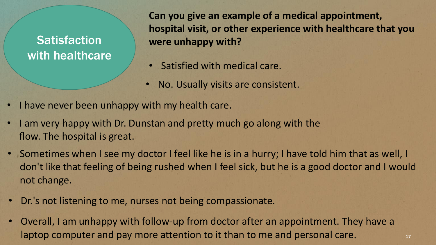**Satisfaction** with healthcare

**Can you give an example of a medical appointment, hospital visit, or other experience with healthcare that you were unhappy with?**

- Satisfied with medical care.
- No. Usually visits are consistent.
- I have never been unhappy with my health care.
- I am very happy with Dr. Dunstan and pretty much go along with the flow. The hospital is great.
- Sometimes when I see my doctor I feel like he is in a hurry; I have told him that as well, I don't like that feeling of being rushed when I feel sick, but he is a good doctor and I would not change.
- Dr.'s not listening to me, nurses not being compassionate.
- Overall, I am unhappy with follow-up from doctor after an appointment. They have a laptop computer and pay more attention to it than to me and personal care.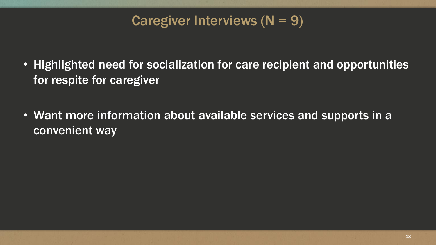### Caregiver Interviews  $(N = 9)$

- Highlighted need for socialization for care recipient and opportunities for respite for caregiver
- Want more information about available services and supports in a convenient way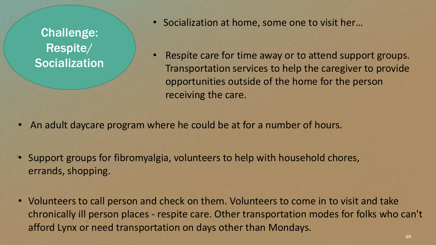Challenge: Respite/ **Socialization**  • Socialization at home, some one to visit her…

• Respite care for time away or to attend support groups. Transportation services to help the caregiver to provide opportunities outside of the home for the person receiving the care.

- An adult daycare program where he could be at for a number of hours.
- Support groups for fibromyalgia, volunteers to help with household chores, errands, shopping.
- Volunteers to call person and check on them. Volunteers to come in to visit and take chronically ill person places - respite care. Other transportation modes for folks who can't afford Lynx or need transportation on days other than Mondays.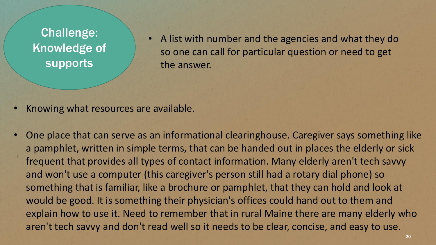Challenge: Knowledge of supports

• A list with number and the agencies and what they do so one can call for particular question or need to get the answer.

- Knowing what resources are available.
- One place that can serve as an informational clearinghouse. Caregiver says something like a pamphlet, written in simple terms, that can be handed out in places the elderly or sick frequent that provides all types of contact information. Many elderly aren't tech savvy and won't use a computer (this caregiver's person still had a rotary dial phone) so something that is familiar, like a brochure or pamphlet, that they can hold and look at would be good. It is something their physician's offices could hand out to them and explain how to use it. Need to remember that in rural Maine there are many elderly who aren't tech savvy and don't read well so it needs to be clear, concise, and easy to use.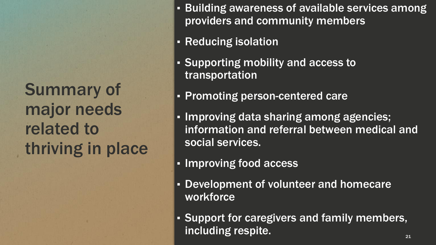Summary of major needs related to thriving in place

- **E** Building awareness of available services among providers and community members
- **Example 1 Reducing isolation**
- Supporting mobility and access to transportation
- Promoting person-centered care
- Improving data sharing among agencies; information and referral between medical and social services.
- **. Improving food access**
- **Development of volunteer and homecare** workforce
- **· Support for caregivers and family members,** including respite.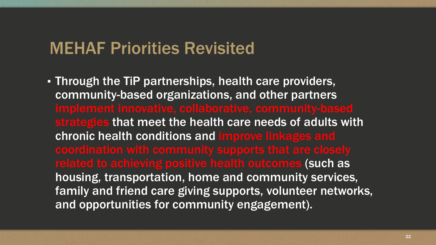### MEHAF Priorities Revisited

▪ Through the TiP partnerships, health care providers, community-based organizations, and other partners strategies that meet the health care needs of adults with chronic health conditions and improve linkages and related to achieving positive health outcomes (such as housing, transportation, home and community services, family and friend care giving supports, volunteer networks, and opportunities for community engagement).